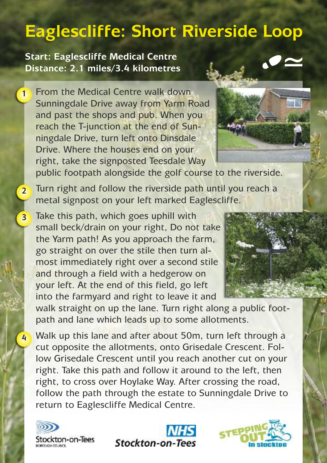## **Eaglescliffe: Short Riverside Loop**

**Start: Eaglescliffe Medical Centre Distance: 2.1 miles/3.4 kilometres**

**1**

**2**

**3**

**4**

From the Medical Centre walk down Sunningdale Drive away from Yarm Road and past the shops and pub. When you reach the T-junction at the end of Sunningdale Drive, turn left onto Dinsdale Drive. Where the houses end on your right, take the signposted Teesdale Way



public footpath alongside the golf course to the riverside.

Turn right and follow the riverside path until you reach a metal signpost on your left marked Eaglescliffe.

Take this path, which goes uphill with small beck/drain on your right, Do not take the Yarm path! As you approach the farm, go straight on over the stile then turn almost immediately right over a second stile and through a field with a hedgerow on your left. At the end of this field, go left into the farmyard and right to leave it and



walk straight on up the lane. Turn right along a public footpath and lane which leads up to some allotments.

Walk up this lane and after about 50m, turn left through a cut opposite the allotments, onto Grisedale Crescent. Follow Grisedale Crescent until you reach another cut on your right. Take this path and follow it around to the left, then right, to cross over Hoylake Way. After crossing the road, follow the path through the estate to Sunningdale Drive to return to Eaglescliffe Medical Centre.